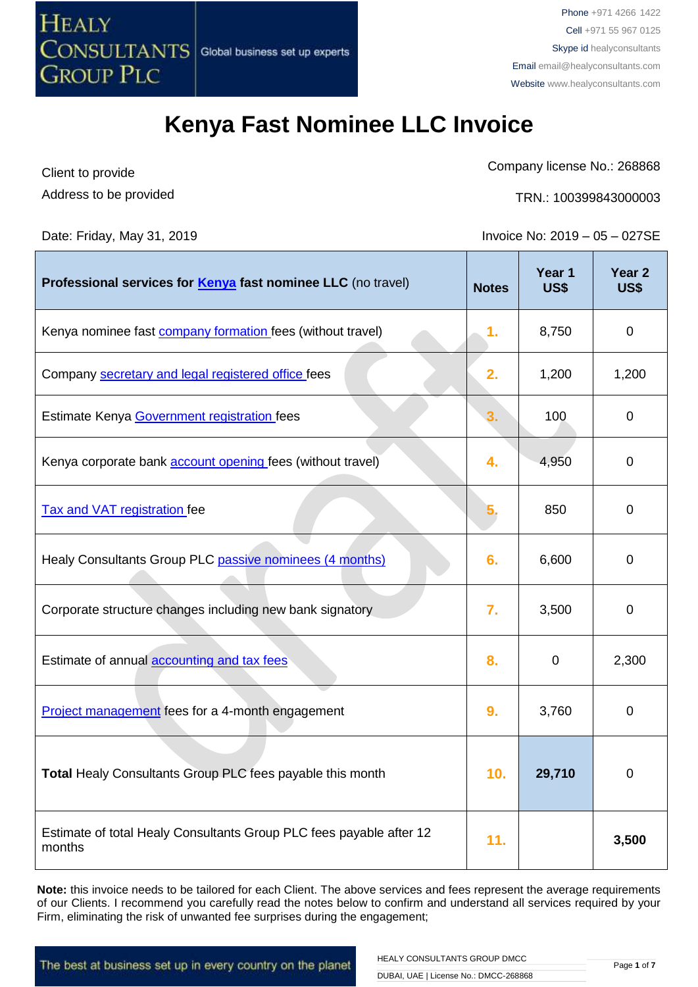

Company license No.: 268868

Address to be provided

Client to provide

TRN.: 100399843000003

Date: Friday, May 31, 2019 Invoice No: 2019 – 05 – 027SE

| Professional services for <b>Kenya</b> fast nominee LLC (no travel)           | <b>Notes</b> | Year 1<br><b>US\$</b> | Year <sub>2</sub><br><b>US\$</b> |
|-------------------------------------------------------------------------------|--------------|-----------------------|----------------------------------|
| Kenya nominee fast <b>company formation</b> fees (without travel)             | 1.           | 8,750                 | $\mathbf 0$                      |
| Company secretary and legal registered office fees                            | 2.           | 1,200                 | 1,200                            |
| Estimate Kenya Government registration fees                                   | 3.           | 100                   | 0                                |
| Kenya corporate bank <b>account opening</b> fees (without travel)             | 4.           | 4,950                 | 0                                |
| <b>Tax and VAT registration fee</b>                                           |              | 850                   | $\mathbf 0$                      |
| Healy Consultants Group PLC passive nominees (4 months)                       | 6.           | 6,600                 | 0                                |
| Corporate structure changes including new bank signatory                      | 7.           | 3,500                 | 0                                |
| Estimate of annual accounting and tax fees                                    | 8.           | 0                     | 2,300                            |
| <b>Project management</b> fees for a 4-month engagement                       | 9.           | 3,760                 | 0                                |
| Total Healy Consultants Group PLC fees payable this month                     | 10.          | 29,710                | 0                                |
| Estimate of total Healy Consultants Group PLC fees payable after 12<br>months | 11.          |                       | 3,500                            |

**Note:** this invoice needs to be tailored for each Client. The above services and fees represent the average requirements of our Clients. I recommend you carefully read the notes below to confirm and understand all services required by your Firm, eliminating the risk of unwanted fee surprises during the engagement;

The best at business set up in every country on the planet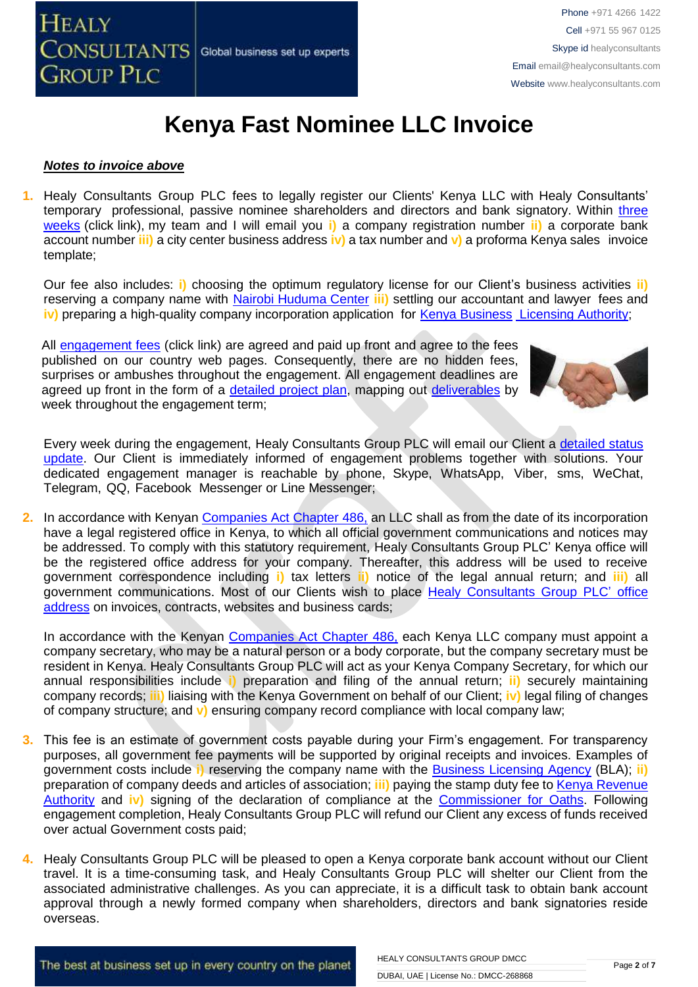

#### *Notes to invoice above*

**1.** Healy Consultants Group PLC fees to legally register our Clients' Kenya LLC with Healy Consultants' temporary professional, passive nominee shareholders and directors and bank signatory. Within [three](http://www.healyconsultants.com/kenya-company-registration/fees-timelines/#timelines)  [weeks](http://www.healyconsultants.com/kenya-company-registration/fees-timelines/#timelines) (click link), my team and I will email you **i)** a company registration number **ii)** a corporate bank account number **iii)** a city center business address **iv)** a tax number and **v)** a proforma Kenya sales invoice template;

Our fee also includes: **i)** choosing the optimum regulatory license for our Client's business activities **ii)** reserving a company name with [Nairobi Huduma Center](http://www.ecitizen.go.ke/) **iii)** settling our accountant and lawyer fees and **iv)** preparing a high-quality company incorporation application for [Kenya Business](http://www.businesslicense.or.ke/) [Licensing Authority;](http://www.businesslicense.or.ke/)

All [engagement fees](http://www.healyconsultants.com/company-registration-fees/) (click link) are agreed and paid up front and agree to the fees published on our country web pages. Consequently, there are no hidden fees, surprises or ambushes throughout the engagement. All engagement deadlines are agreed up front in the form of a [detailed project plan,](http://www.healyconsultants.com/index-important-links/example-project-plan/) mapping out [deliverables](http://www.healyconsultants.com/deliverables-to-our-clients/) by week throughout the engagement term;



Every week during the engagement, Healy Consultants Group PLC will email our Client a detailed status [update.](http://www.healyconsultants.com/index-important-links/weekly-engagement-status-email/) Our Client is immediately informed of engagement problems together with solutions. Your dedicated engagement manager is reachable by phone, Skype, WhatsApp, Viber, sms, WeChat, Telegram, QQ, Facebook Messenger or Line Messenger;

**2.** In accordance with Kenyan [Companies Act Chapter 486,](http://www.kenyalawreport.co.ke/Downloads/Acts/Companies%20Act.pdf) an LLC shall as from the date of its incorporation have a legal registered office in Kenya, to which all official government communications and notices mav be addressed. To comply with this statutory requirement, Healy Consultants Group PLC' Kenya office will be the registered office address for your company. Thereafter, this address will be used to receive government correspondence including **i)** tax letters **ii)** notice of the legal annual return; and **iii)** all government communications. Most of our Clients wish to place [Healy Consultants Group PLC'](http://www.healyconsultants.com/corporate-outsourcing-services/company-secretary-and-legal-registered-office/) office [address](http://www.healyconsultants.com/corporate-outsourcing-services/company-secretary-and-legal-registered-office/) on invoices, contracts, websites and business cards;

In accordance with the Kenyan [Companies Act Chapter 486,](http://www.kenyalawreport.co.ke/Downloads/Acts/Companies%20Act.pdf) each Kenya LLC company must appoint a company secretary, who may be a natural person or a body corporate, but the company secretary must be resident in Kenya. Healy Consultants Group PLC will act as your Kenya Company Secretary, for which our annual responsibilities include **i)** preparation and filing of the annual return; **ii)** securely maintaining company records; **iii)** liaising with the Kenya Government on behalf of our Client; **iv)** legal filing of changes of company structure; and **v)** ensuring company record compliance with local company law;

- **3.** This fee is an estimate of government costs payable during your Firm's engagement. For transparency purposes, all government fee payments will be supported by original receipts and invoices. Examples of government costs include **i)** reserving the company name with the [Business Licensing Agency](http://www.businesslicense.or.ke/) (BLA); **ii)** preparation of company deeds and articles of association; **iii)** paying the stamp duty fee t[o Kenya Revenue](http://www.revenue.go.ke/)  [Authority](http://www.revenue.go.ke/) and **iv)** signing of the declaration of compliance at the [Commissioner for Oaths.](http://www.citizensinformation.ie/en/justice/civil_law/commissioners_for_oaths.html) Following engagement completion, Healy Consultants Group PLC will refund our Client any excess of funds received over actual Government costs paid;
- **4.** Healy Consultants Group PLC will be pleased to open a Kenya corporate bank account without our Client travel. It is a time-consuming task, and Healy Consultants Group PLC will shelter our Client from the associated administrative challenges. As you can appreciate, it is a difficult task to obtain bank account approval through a newly formed company when shareholders, directors and bank signatories reside overseas.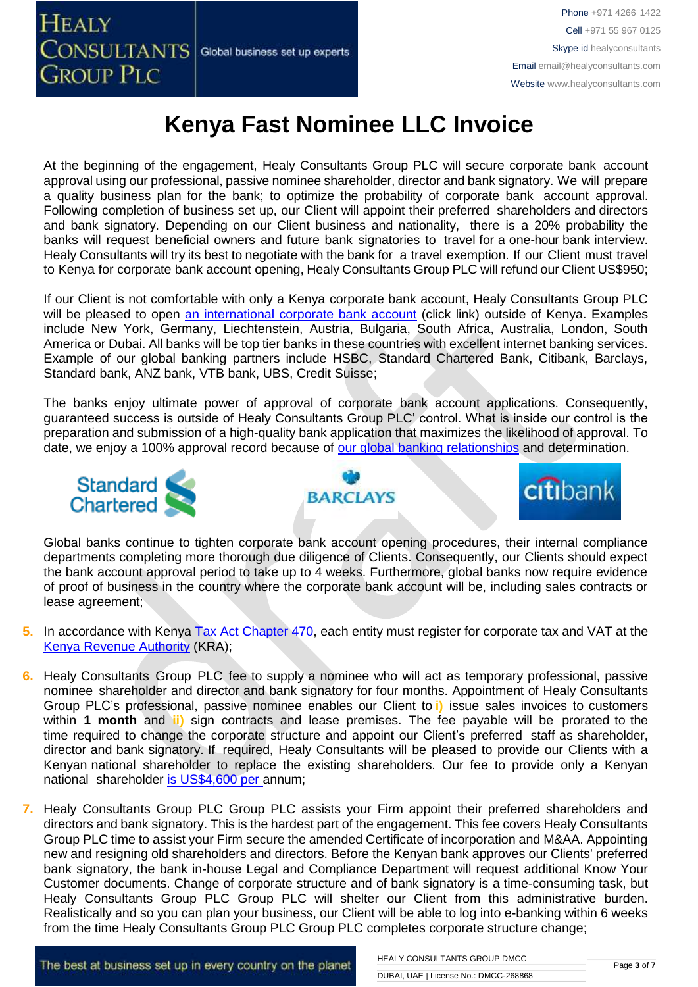At the beginning of the engagement, Healy Consultants Group PLC will secure corporate bank account approval using our professional, passive nominee shareholder, director and bank signatory. We will prepare a quality business plan for the bank; to optimize the probability of corporate bank account approval. Following completion of business set up, our Client will appoint their preferred shareholders and directors and bank signatory. Depending on our Client business and nationality, there is a 20% probability the banks will request beneficial owners and future bank signatories to travel for a one-hour bank interview. Healy Consultants will try its best to negotiate with the bank for a travel exemption. If our Client must travel to Kenya for corporate bank account opening, Healy Consultants Group PLC will refund our Client US\$950;

If our Client is not comfortable with only a Kenya corporate bank account, Healy Consultants Group PLC will be pleased to open [an international corporate bank account](http://www.healyconsultants.com/international-banking/) (click link) outside of Kenya. Examples include New York, Germany, Liechtenstein, Austria, Bulgaria, South Africa, Australia, London, South America or Dubai. All banks will be top tier banks in these countries with excellent internet banking services. Example of our global banking partners include HSBC, Standard Chartered Bank, Citibank, Barclays, Standard bank, ANZ bank, VTB bank, UBS, Credit Suisse;

The banks enjoy ultimate power of approval of corporate bank account applications. Consequently, guaranteed success is outside of Healy Consultants Group PLC' control. What is inside our control is the preparation and submission of a high-quality bank application that maximizes the likelihood of approval. To date, we enjoy a 100% approval record because of [our global banking relationships](http://www.healyconsultants.com/international-banking/corporate-accounts/) and determination.







Global banks continue to tighten corporate bank account opening procedures, their internal compliance departments completing more thorough due diligence of Clients. Consequently, our Clients should expect the bank account approval period to take up to 4 weeks. Furthermore, global banks now require evidence of proof of business in the country where the corporate bank account will be, including sales contracts or lease agreement;

- **5.** In accordance with Kenya [Tax Act Chapter 470,](http://www.africanbondmarkets.org/fileadmin/Countries/Kenya/Kenyan_Revenue_Authority/Income_Tax_Act-Kenya.pdf) each entity must register for corporate tax and VAT at the [Kenya Revenue Authority](http://www.kra.go.ke/) (KRA);
- **6.** Healy Consultants Group PLC fee to supply a nominee who will act as temporary professional, passive nominee shareholder and director and bank signatory for four months. Appointment of Healy Consultants Group PLC's professional, passive nominee enables our Client to **i)** issue sales invoices to customers within **1 month** and **ii)** sign contracts and lease premises. The fee payable will be prorated to the time required to change the corporate structure and appoint our Client's preferred staff as shareholder, director and bank signatory. If required, Healy Consultants will be pleased to provide our Clients with a Kenyan national shareholder to replace the existing shareholders. Our fee to provide only a Kenyan national shareholder [is US\\$4,600](http://www.healyconsultants.com/corporate-advisory-services/nominee-shareholders-directors/) per annum;
- **7.** Healy Consultants Group PLC Group PLC assists your Firm appoint their preferred shareholders and directors and bank signatory. This is the hardest part of the engagement. This fee covers Healy Consultants Group PLC time to assist your Firm secure the amended Certificate of incorporation and M&AA. Appointing new and resigning old shareholders and directors. Before the Kenyan bank approves our Clients' preferred bank signatory, the bank in-house Legal and Compliance Department will request additional Know Your Customer documents. Change of corporate structure and of bank signatory is a time-consuming task, but Healy Consultants Group PLC Group PLC will shelter our Client from this administrative burden. Realistically and so you can plan your business, our Client will be able to log into e-banking within 6 weeks from the time Healy Consultants Group PLC Group PLC completes corporate structure change;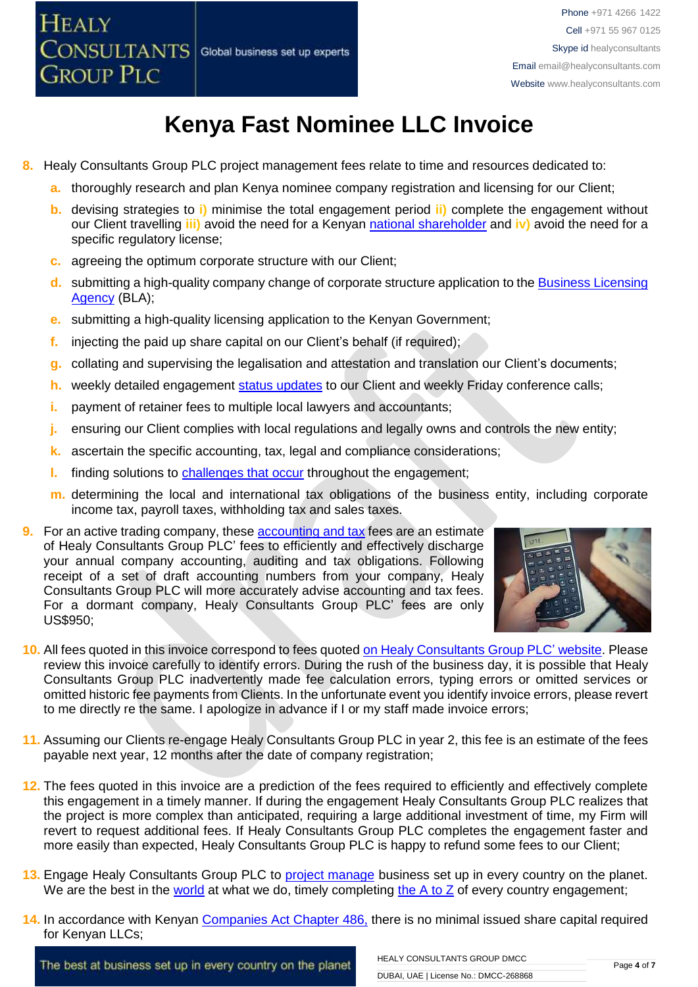

- **8.** Healy Consultants Group PLC project management fees relate to time and resources dedicated to:
	- **a.** thoroughly research and plan Kenya nominee company registration and licensing for our Client;
	- **b.** devising strategies to **i)** minimise the total engagement period **ii)** complete the engagement without our Client travelling **iii)** avoid the need for a Kenyan national [shareholder](http://www.healyconsultants.com/corporate-advisory-services/nominee-shareholders-directors/national-shareholder-services/) and **iv)** avoid the need for a specific regulatory license:
	- **c.** agreeing the optimum corporate structure with our Client;
	- **d.** submitting a high-quality company change of corporate structure application to the [Business Licensing](http://www.businesslicense.or.ke/)  [Agency](http://www.businesslicense.or.ke/) (BLA);
	- **e.** submitting a high-quality licensing application to the Kenyan Government;
	- **f.** injecting the paid up share capital on our Client's behalf (if required);
	- **g.** collating and supervising the legalisation and attestation and translation our Client's documents;
	- **h.** weekly detailed engagement [status updates](http://www.healyconsultants.com/index-important-links/weekly-engagement-status-email/) to our Client and weekly Friday conference calls;
	- **i.** payment of retainer fees to multiple local lawyers and accountants:
	- **j.** ensuring our Client complies with local regulations and legally owns and controls the new entity;
	- **k.** ascertain the specific accounting, tax, legal and compliance considerations;
	- **l.** finding solutions to [challenges that occur](http://www.healyconsultants.com/engagement-project-management/) throughout the engagement;
	- **m.** determining the local and international tax obligations of the business entity, including corporate income tax, payroll taxes, withholding tax and sales taxes.
- **9.** For an active trading company, these **[accounting and tax](http://www.healyconsultants.com/kenya-company-registration/accounting-legal/)** fees are an estimate of Healy Consultants Group PLC' fees to efficiently and effectively discharge your annual company accounting, auditing and tax obligations. Following receipt of a set of draft accounting numbers from your company, Healy Consultants Group PLC will more accurately advise accounting and tax fees. For a dormant company, Healy Consultants Group PLC' fees are only US\$950;



- **10.** All fees quoted in this invoice correspond to fees quote[d on Healy Consultants Group PLC' website.](http://www.healyconsultants.com/company-registration-fees/) Please review this invoice carefully to identify errors. During the rush of the business day, it is possible that Healy Consultants Group PLC inadvertently made fee calculation errors, typing errors or omitted services or omitted historic fee payments from Clients. In the unfortunate event you identify invoice errors, please revert to me directly re the same. I apologize in advance if I or my staff made invoice errors;
- **11.** Assuming our Clients re-engage Healy Consultants Group PLC in year 2, this fee is an estimate of the fees payable next year, 12 months after the date of company registration;
- **12.** The fees quoted in this invoice are a prediction of the fees required to efficiently and effectively complete this engagement in a timely manner. If during the engagement Healy Consultants Group PLC realizes that the project is more complex than anticipated, requiring a large additional investment of time, my Firm will revert to request additional fees. If Healy Consultants Group PLC completes the engagement faster and more easily than expected, Healy Consultants Group PLC is happy to refund some fees to our Client;
- **13.** Engage Healy Consultants Group PLC to [project manage](http://www.healyconsultants.com/project-manage-engagements/) business set up in every country on the planet. We are the best in the [world](http://www.healyconsultants.com/best-in-the-world/) at what we do, timely completing the  $A$  to  $Z$  of every country engagement;
- **14.** In accordance with Kenyan [Companies Act Chapter 486,](http://www.kenyalawreport.co.ke/Downloads/Acts/Companies%20Act.pdf) there is no minimal issued share capital required for Kenyan LLCs;

The best at business set up in every country on the planet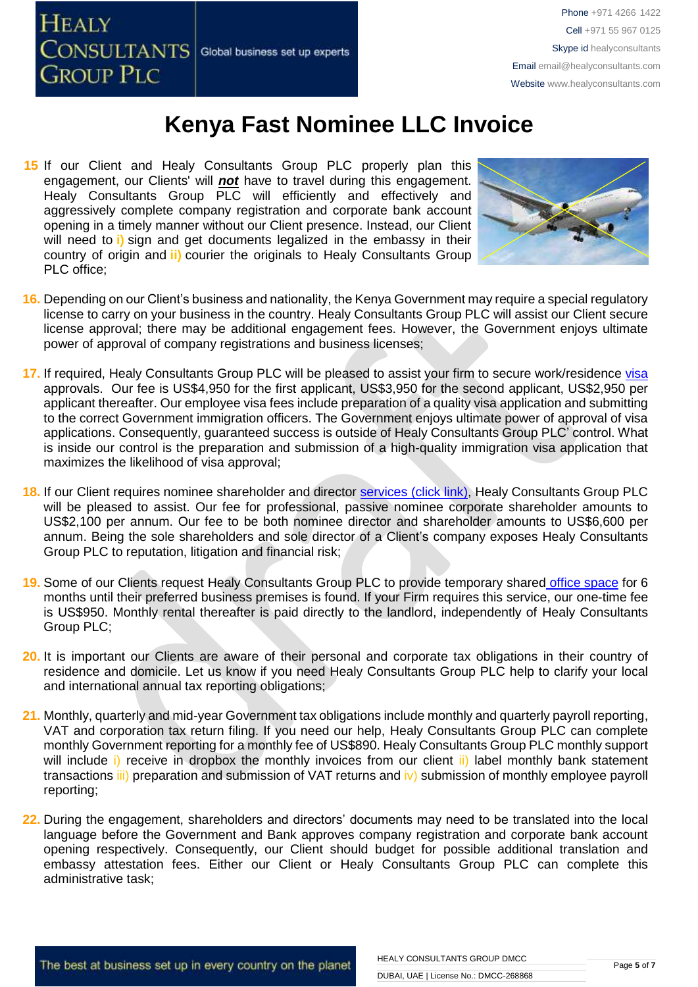

15 If our Client and Healy Consultants Group PLC properly plan this engagement, our Clients' will *not* have to travel during this engagement. Healy Consultants Group PLC will efficiently and effectively and aggressively complete company registration and corporate bank account opening in a timely manner without our Client presence. Instead, our Client will need to **i)** sign and get documents legalized in the embassy in their country of origin and **ii)** courier the originals to Healy Consultants Group PLC office;



- **16.** Depending on our Client's business and nationality, the Kenya Government may require a special regulatory license to carry on your business in the country. Healy Consultants Group PLC will assist our Client secure license approval; there may be additional engagement fees. However, the Government enjoys ultimate power of approval of company registrations and business licenses;
- **17.** If required, Healy Consultants Group PLC will be pleased to assist your firm to secure work/residence [visa](http://www.healyconsultants.com/kenya-company-registration/formation-support-services/) approvals. Our fee is US\$4,950 for the first applicant, US\$3,950 for the second applicant, US\$2,950 per applicant thereafter. Our employee visa fees include preparation of a quality visa application and submitting to the correct Government immigration officers. The Government enjoys ultimate power of approval of visa applications. Consequently, guaranteed success is outside of Healy Consultants Group PLC' control. What is inside our control is the preparation and submission of a high-quality immigration visa application that maximizes the likelihood of visa approval;
- **18.** If our Client requires nominee shareholder and director services [\(click link\),](http://www.healyconsultants.com/corporate-outsourcing-services/nominee-shareholders-directors/) Healy Consultants Group PLC will be pleased to assist. Our fee for professional, passive nominee corporate shareholder amounts to US\$2,100 per annum. Our fee to be both nominee director and shareholder amounts to US\$6,600 per annum. Being the sole shareholders and sole director of a Client's company exposes Healy Consultants Group PLC to reputation, litigation and financial risk;
- **19.** Some of our Clients request Healy Consultants Group PLC to provide temporary shared [office space](http://www.healyconsultants.com/virtual-office/) for 6 months until their preferred business premises is found. If your Firm requires this service, our one-time fee is US\$950. Monthly rental thereafter is paid directly to the landlord, independently of Healy Consultants Group PLC;
- **20.** It is important our Clients are aware of their personal and corporate tax obligations in their country of residence and domicile. Let us know if you need Healy Consultants Group PLC help to clarify your local and international annual tax reporting obligations;
- **21.** Monthly, quarterly and mid-year Government tax obligations include monthly and quarterly payroll reporting, VAT and corporation tax return filing. If you need our help, Healy Consultants Group PLC can complete monthly Government reporting for a monthly fee of US\$890. Healy Consultants Group PLC monthly support will include i) receive in dropbox the monthly invoices from our client ii) label monthly bank statement transactions iii) preparation and submission of VAT returns and iv) submission of monthly employee payroll reporting;
- **22.** During the engagement, shareholders and directors' documents may need to be translated into the local language before the Government and Bank approves company registration and corporate bank account opening respectively. Consequently, our Client should budget for possible additional translation and embassy attestation fees. Either our Client or Healy Consultants Group PLC can complete this administrative task;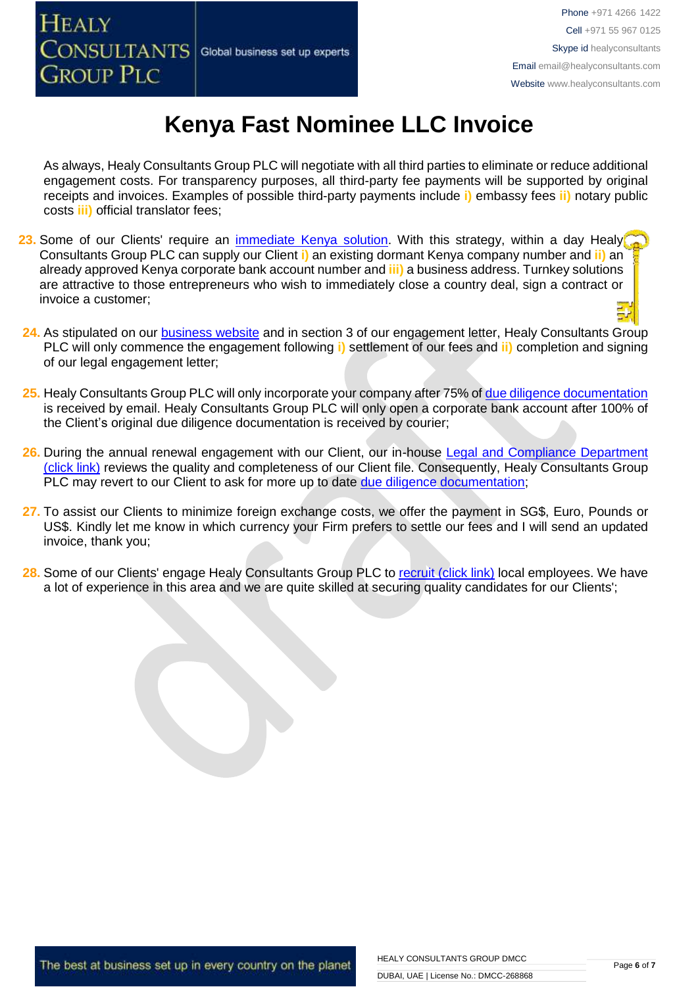**GROUP PLC** 

**HEALY** 

# **Kenya Fast Nominee LLC Invoice**

As always, Healy Consultants Group PLC will negotiate with all third parties to eliminate or reduce additional engagement costs. For transparency purposes, all third-party fee payments will be supported by original receipts and invoices. Examples of possible third-party payments include **i)** embassy fees **ii)** notary public costs **iii)** official translator fees;

- **23.** Some of our Clients' require an [immediate Kenya](http://www.healyconsultants.com/turnkey-solutions/) solution. With this strategy, within a day Healy Consultants Group PLC can supply our Client **i)** an existing dormant Kenya company number and **ii)** an already approved Kenya corporate bank account number and **iii)** a business address. Turnkey solutions are attractive to those entrepreneurs who wish to immediately close a country deal, sign a contract or invoice a customer;
- **24.** As stipulated on our [business website](http://www.healyconsultants.com/) and in section 3 of our engagement letter, Healy Consultants Group PLC will only commence the engagement following **i)** settlement of our fees and **ii)** completion and signing of our legal engagement letter;
- **25.** Healy Consultants Group PLC will only incorporate your company after 75% of [due diligence documentation](http://www.healyconsultants.com/due-diligence/) is received by email. Healy Consultants Group PLC will only open a corporate bank account after 100% of the Client's original due diligence documentation is received by courier;
- 26. During the annual renewal engagement with our Client, our in-house Legal and Compliance Department [\(click link\)](http://www.healyconsultants.com/about-us/key-personnel/cai-xin-profile/) reviews the quality and completeness of our Client file. Consequently, Healy Consultants Group PLC may revert to our Client to ask for more up to date [due diligence documentation;](http://www.healyconsultants.com/due-diligence/)
- **27.** To assist our Clients to minimize foreign exchange costs, we offer the payment in SG\$, Euro, Pounds or US\$. Kindly let me know in which currency your Firm prefers to settle our fees and I will send an updated invoice, thank you;
- **28.** Some of our Clients' engage Healy Consultants Group PLC to [recruit \(click link\)](http://www.healyconsultants.com/corporate-outsourcing-services/how-we-help-our-clients-recruit-quality-employees/) local employees. We have a lot of experience in this area and we are quite skilled at securing quality candidates for our Clients';